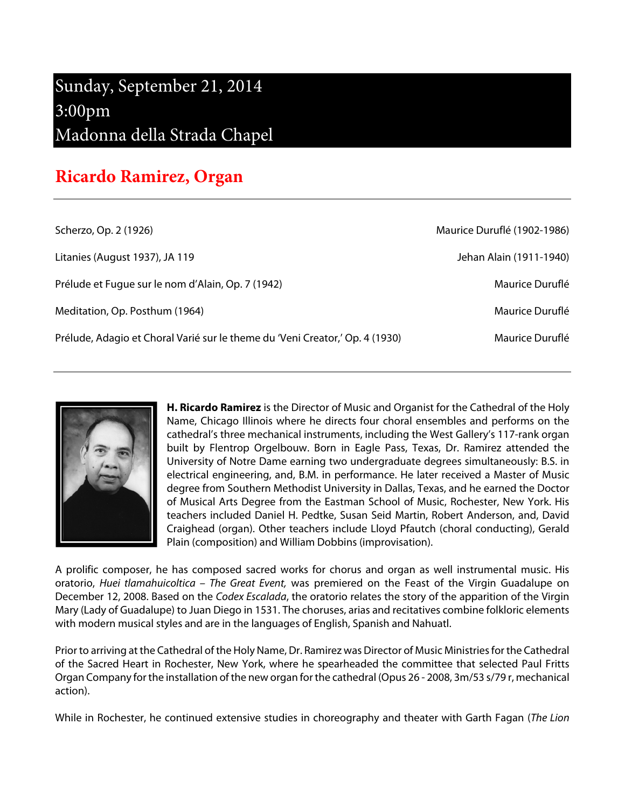## Sunday, September 21, 2014 3:00pm Madonna della Strada Chapel

## **Ricardo Ramirez, Organ**

| Maurice Duruflé (1902-1986) |
|-----------------------------|
| Jehan Alain (1911-1940)     |
| Maurice Duruflé             |
| Maurice Duruflé             |
| Maurice Duruflé             |
|                             |



**H. Ricardo Ramirez** is the Director of Music and Organist for the Cathedral of the Holy Name, Chicago Illinois where he directs four choral ensembles and performs on the cathedral's three mechanical instruments, including the West Gallery's 117-rank organ built by Flentrop Orgelbouw. Born in Eagle Pass, Texas, Dr. Ramirez attended the University of Notre Dame earning two undergraduate degrees simultaneously: B.S. in electrical engineering, and, B.M. in performance. He later received a Master of Music degree from Southern Methodist University in Dallas, Texas, and he earned the Doctor of Musical Arts Degree from the Eastman School of Music, Rochester, New York. His teachers included Daniel H. Pedtke, Susan Seid Martin, Robert Anderson, and, David Craighead (organ). Other teachers include Lloyd Pfautch (choral conducting), Gerald Plain (composition) and William Dobbins (improvisation).

A prolific composer, he has composed sacred works for chorus and organ as well instrumental music. His oratorio, Huei tlamahuicoltica - The Great Event, was premiered on the Feast of the Virgin Guadalupe on December 12, 2008. Based on the Codex Escalada, the oratorio relates the story of the apparition of the Virgin Mary (Lady of Guadalupe) to Juan Diego in 1531. The choruses, arias and recitatives combine folkloric elements with modern musical styles and are in the languages of English, Spanish and Nahuatl.

Prior to arriving at the Cathedral of the Holy Name, Dr. Ramirez was Director of Music Ministries for the Cathedral of the Sacred Heart in Rochester, New York, where he spearheaded the committee that selected Paul Fritts Organ Company for the installation of the new organ for the cathedral (Opus 26 - 2008, 3m/53 s/79 r, mechanical action).

While in Rochester, he continued extensive studies in choreography and theater with Garth Fagan (The Lion